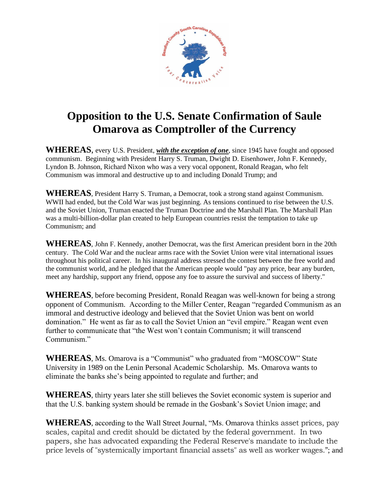

## **Opposition to the U.S. Senate Confirmation of Saule Omarova as Comptroller of the Currency**

**WHEREAS**, every U.S. President, *with the exception of one*, since 1945 have fought and opposed communism. Beginning with President Harry S. Truman, Dwight D. Eisenhower, John F. Kennedy, Lyndon B. Johnson, Richard Nixon who was a very vocal opponent, Ronald Reagan, who felt Communism was immoral and destructive up to and including Donald Trump; and

**WHEREAS**, President Harry S. Truman, a Democrat, took a strong stand against Communism. WWII had ended, but the Cold War was just beginning. As tensions continued to rise between the U.S. and the Soviet Union, Truman enacted the Truman Doctrine and the Marshall Plan. The Marshall Plan was a multi-billion-dollar plan created to help European countries resist the temptation to take up Communism; and

**WHEREAS**, John F. Kennedy, another Democrat, was the first American president born in the 20th century. The Cold War and the nuclear arms race with the Soviet Union were vital international issues throughout his political career. In his inaugural address stressed the contest between the free world and the communist world, and he pledged that the American people would "pay any price, bear any burden, meet any hardship, support any friend, oppose any foe to assure the survival and success of liberty."

**WHEREAS**, before becoming President, Ronald Reagan was well-known for being a strong opponent of Communism. According to the Miller Center, Reagan "regarded Communism as an immoral and destructive ideology and believed that the Soviet Union was bent on world domination." He went as far as to call the Soviet Union an "evil empire." Reagan went even further to communicate that "the West won't contain Communism; it will transcend Communism."

**WHEREAS**, Ms. Omarova is a "Communist" who graduated from "MOSCOW" State University in 1989 on the Lenin Personal Academic Scholarship. Ms. Omarova wants to eliminate the banks she's being appointed to regulate and further; and

**WHEREAS**, thirty years later she still believes the Soviet economic system is superior and that the U.S. banking system should be remade in the Gosbank's Soviet Union image; and

**WHEREAS**, according to the Wall Street Journal, "Ms. Omarova thinks asset prices, pay scales, capital and credit should be dictated by the federal government. In two papers, she has advocated expanding the Federal Reserve's mandate to include the price levels of "systemically important financial assets" as well as worker wages."; and